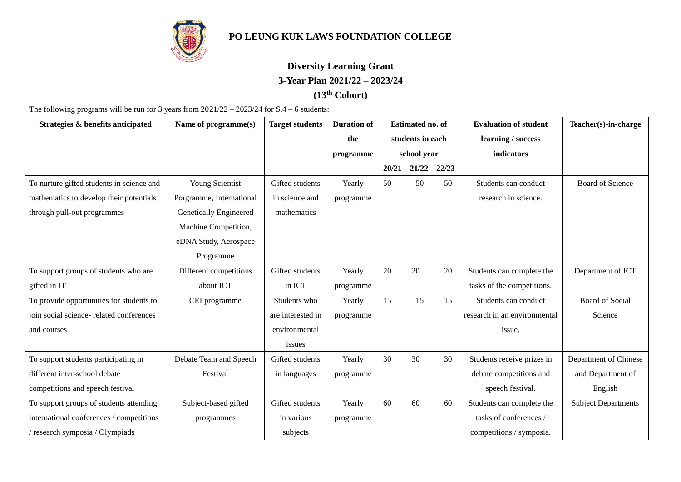

## **PO LEUNG KUK LAWS FOUNDATION COLLEGE**

## **Diversity Learning Grant 3-Year Plan 2021/22 – 2023/24**

## **(13th Cohort)**

The following programs will be run for 3 years from 2021/22 – 2023/24 for S.4 – 6 students:

| Strategies & benefits anticipated         | Name of programme(s)     | <b>Target students</b> | <b>Duration of</b> | <b>Estimated no. of</b> |       |       | <b>Evaluation of student</b> | Teacher(s)-in-charge       |
|-------------------------------------------|--------------------------|------------------------|--------------------|-------------------------|-------|-------|------------------------------|----------------------------|
|                                           |                          |                        | the                | students in each        |       |       | learning / success           |                            |
|                                           |                          |                        | programme          | school year             |       |       | indicators                   |                            |
|                                           |                          |                        |                    | 20/21                   | 21/22 | 22/23 |                              |                            |
| To nurture gifted students in science and | Young Scientist          | Gifted students        | Yearly             | 50                      | 50    | 50    | Students can conduct         | <b>Board of Science</b>    |
| mathematics to develop their potentials   | Porgramme, International | in science and         | programme          |                         |       |       | research in science.         |                            |
| through pull-out programmes               | Genetically Engineered   | mathematics            |                    |                         |       |       |                              |                            |
|                                           | Machine Competition,     |                        |                    |                         |       |       |                              |                            |
|                                           | eDNA Study, Aerospace    |                        |                    |                         |       |       |                              |                            |
|                                           | Programme                |                        |                    |                         |       |       |                              |                            |
| To support groups of students who are     | Different competitions   | Gifted students        | Yearly             | 20                      | 20    | 20    | Students can complete the    | Department of ICT          |
| gifted in IT                              | about ICT                | in ICT                 | programme          |                         |       |       | tasks of the competitions.   |                            |
| To provide opportunities for students to  | CEI programme            | Students who           | Yearly             | 15                      | 15    | 15    | Students can conduct         | <b>Board of Social</b>     |
| join social science- related conferences  |                          | are interested in      | programme          |                         |       |       | research in an environmental | Science                    |
| and courses                               |                          | environmental          |                    |                         |       |       | issue.                       |                            |
|                                           |                          | issues                 |                    |                         |       |       |                              |                            |
| To support students participating in      | Debate Team and Speech   | Gifted students        | Yearly             | 30                      | 30    | 30    | Students receive prizes in   | Department of Chinese      |
| different inter-school debate             | Festival                 | in languages           | programme          |                         |       |       | debate competitions and      | and Department of          |
| competitions and speech festival          |                          |                        |                    |                         |       |       | speech festival.             | English                    |
| To support groups of students attending   | Subject-based gifted     | Gifted students        | Yearly             | 60                      | 60    | 60    | Students can complete the    | <b>Subject Departments</b> |
| international conferences / competitions  | programmes               | in various             | programme          |                         |       |       | tasks of conferences /       |                            |
| research symposia / Olympiads             |                          | subjects               |                    |                         |       |       | competitions / symposia.     |                            |